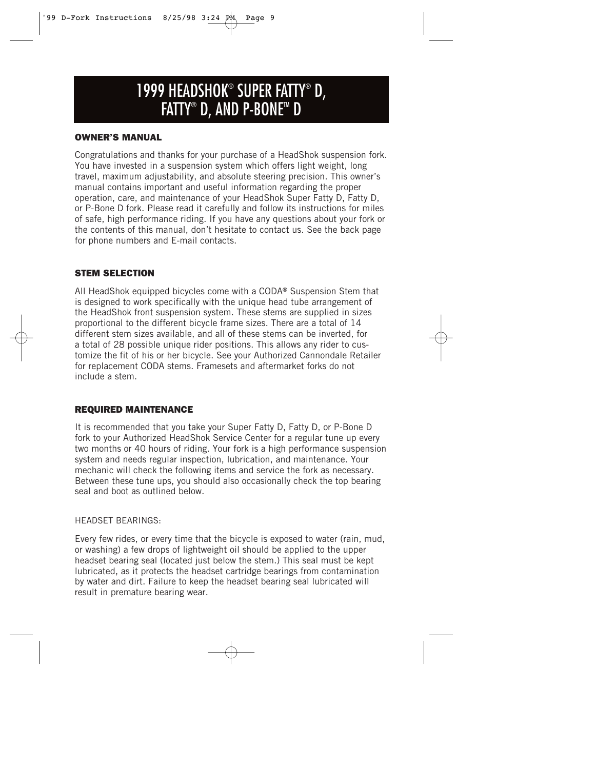## 1999 HEADSHOK® SUPER FATTY® D, FATTY® D, AND P-BONE™ D

#### **OWNER'S MANUAL**

Congratulations and thanks for your purchase of a HeadShok suspension fork. You have invested in a suspension system which offers light weight, long travel, maximum adjustability, and absolute steering precision. This owner's manual contains important and useful information regarding the proper operation, care, and maintenance of your HeadShok Super Fatty D, Fatty D, or P-Bone D fork. Please read it carefully and follow its instructions for miles of safe, high performance riding. If you have any questions about your fork or the contents of this manual, don't hesitate to contact us. See the back page for phone numbers and E-mail contacts.

#### **STEM SELECTION**

All HeadShok equipped bicycles come with a CODA® Suspension Stem that is designed to work specifically with the unique head tube arrangement of the HeadShok front suspension system. These stems are supplied in sizes proportional to the different bicycle frame sizes. There are a total of 14 different stem sizes available, and all of these stems can be inverted, for a total of 28 possible unique rider positions. This allows any rider to customize the fit of his or her bicycle. See your Authorized Cannondale Retailer for replacement CODA stems. Framesets and aftermarket forks do not include a stem.

#### **REQUIRED MAINTENANCE**

It is recommended that you take your Super Fatty D, Fatty D, or P-Bone D fork to your Authorized HeadShok Service Center for a regular tune up every two months or 40 hours of riding. Your fork is a high performance suspension system and needs regular inspection, lubrication, and maintenance. Your mechanic will check the following items and service the fork as necessary. Between these tune ups, you should also occasionally check the top bearing seal and boot as outlined below.

#### HEADSET BEARINGS:

Every few rides, or every time that the bicycle is exposed to water (rain, mud, or washing) a few drops of lightweight oil should be applied to the upper headset bearing seal (located just below the stem.) This seal must be kept lubricated, as it protects the headset cartridge bearings from contamination by water and dirt. Failure to keep the headset bearing seal lubricated will result in premature bearing wear.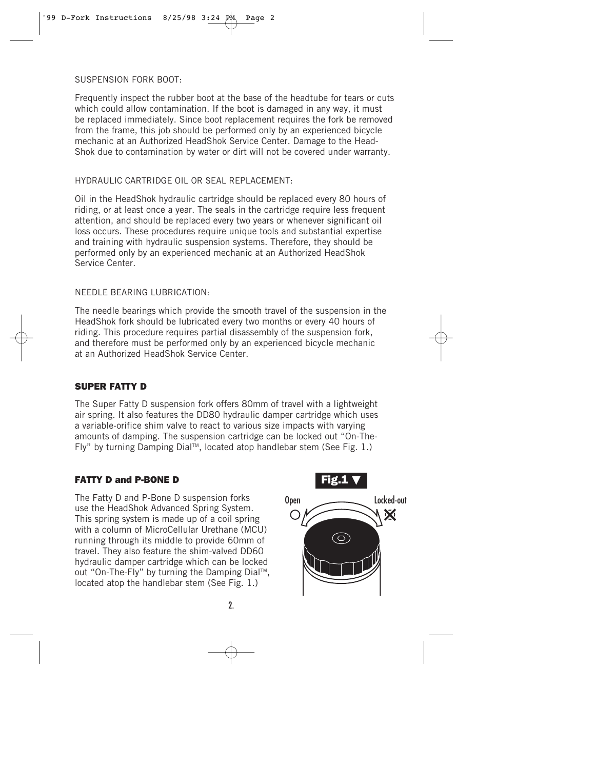SUSPENSION FORK BOOT:

Frequently inspect the rubber boot at the base of the headtube for tears or cuts which could allow contamination. If the boot is damaged in any way, it must be replaced immediately. Since boot replacement requires the fork be removed from the frame, this job should be performed only by an experienced bicycle mechanic at an Authorized HeadShok Service Center. Damage to the Head-Shok due to contamination by water or dirt will not be covered under warranty.

#### HYDRAULIC CARTRIDGE OIL OR SEAL REPLACEMENT:

Oil in the HeadShok hydraulic cartridge should be replaced every 80 hours of riding, or at least once a year. The seals in the cartridge require less frequent attention, and should be replaced every two years or whenever significant oil loss occurs. These procedures require unique tools and substantial expertise and training with hydraulic suspension systems. Therefore, they should be performed only by an experienced mechanic at an Authorized HeadShok Service Center.

#### NEEDLE BEARING LUBRICATION:

The needle bearings which provide the smooth travel of the suspension in the HeadShok fork should be lubricated every two months or every 40 hours of riding. This procedure requires partial disassembly of the suspension fork, and therefore must be performed only by an experienced bicycle mechanic at an Authorized HeadShok Service Center.

#### **SUPER FATTY D**

The Super Fatty D suspension fork offers 80mm of travel with a lightweight air spring. It also features the DD80 hydraulic damper cartridge which uses a variable-orifice shim valve to react to various size impacts with varying amounts of damping. The suspension cartridge can be locked out "On-The-Fly" by turning Damping Dial™, located atop handlebar stem (See Fig. 1.)

#### **FATTY D and P-BONE D**

The Fatty D and P-Bone D suspension forks use the HeadShok Advanced Spring System. This spring system is made up of a coil spring with a column of MicroCellular Urethane (MCU) running through its middle to provide 60mm of travel. They also feature the shim-valved DD60 hydraulic damper cartridge which can be locked out "On-The-Fly" by turning the Damping Dial™, located atop the handlebar stem (See Fig. 1.)

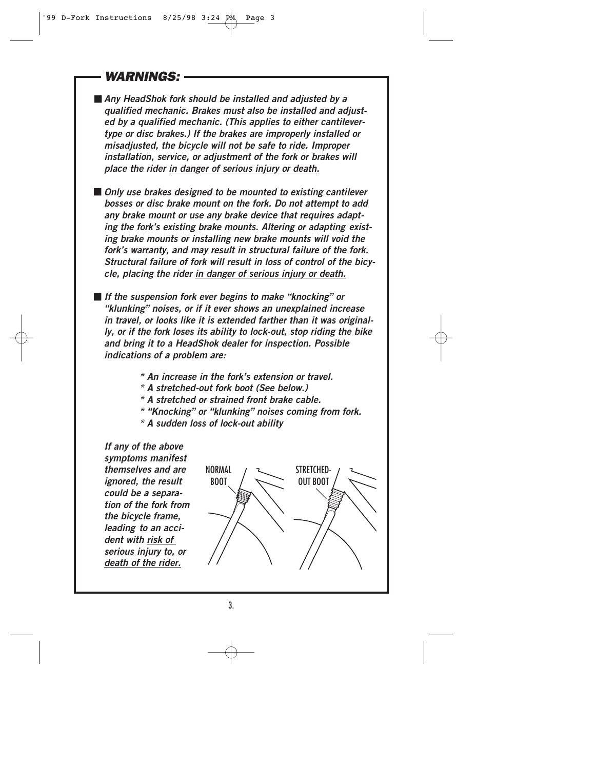### **WARNINGS:**

■ *Any HeadShok fork should be installed and adjusted by a qualified mechanic. Brakes must also be installed and adjusted by a qualified mechanic. (This applies to either cantilevertype or disc brakes.) If the brakes are improperly installed or misadjusted, the bicycle will not be safe to ride. Improper installation, service, or adjustment of the fork or brakes will place the rider in danger of serious injury or death.*

■ *Only use brakes designed to be mounted to existing cantilever bosses or disc brake mount on the fork. Do not attempt to add any brake mount or use any brake device that requires adapting the fork's existing brake mounts. Altering or adapting existing brake mounts or installing new brake mounts will void the fork's warranty, and may result in structural failure of the fork. Structural failure of fork will result in loss of control of the bicycle, placing the rider in danger of serious injury or death.*

■ *If the suspension fork ever begins to make "knocking" or "klunking" noises, or if it ever shows an unexplained increase in travel, or looks like it is extended farther than it was originally, or if the fork loses its ability to lock-out, stop riding the bike and bring it to a HeadShok dealer for inspection. Possible indications of a problem are:*

- *\* An increase in the fork's extension or travel.*
- *\* A stretched-out fork boot (See below.)*
- *\* A stretched or strained front brake cable.*
- *\* "Knocking" or "klunking" noises coming from fork.*
- *\* A sudden loss of lock-out ability*

*If any of the above symptoms manifest themselves and are ignored, the result could be a separation of the fork from the bicycle frame, leading to an accident with risk of serious injury to, or death of the rider.*

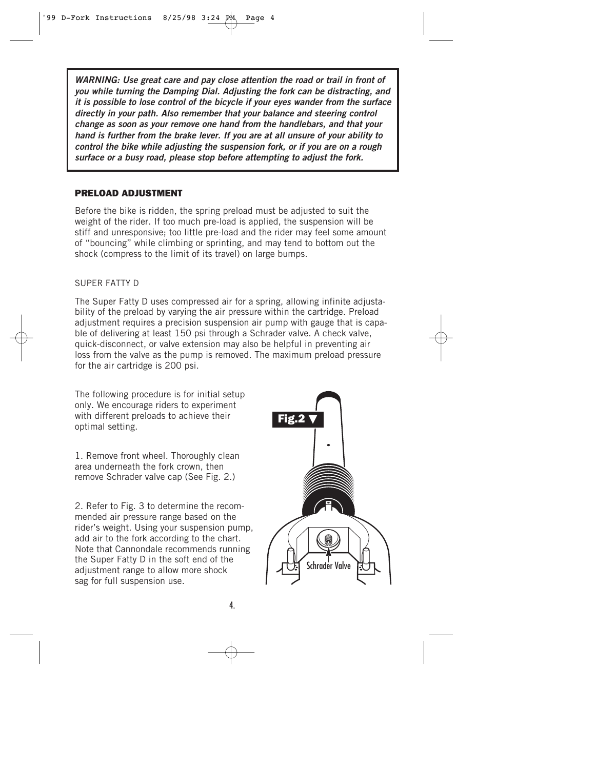*WARNING: Use great care and pay close attention the road or trail in front of you while turning the Damping Dial. Adjusting the fork can be distracting, and it is possible to lose control of the bicycle if your eyes wander from the surface directly in your path. Also remember that your balance and steering control change as soon as your remove one hand from the handlebars, and that your hand is further from the brake lever. If you are at all unsure of your ability to control the bike while adjusting the suspension fork, or if you are on a rough surface or a busy road, please stop before attempting to adjust the fork.*

#### **PRELOAD ADJUSTMENT**

Before the bike is ridden, the spring preload must be adjusted to suit the weight of the rider. If too much pre-load is applied, the suspension will be stiff and unresponsive; too little pre-load and the rider may feel some amount of "bouncing" while climbing or sprinting, and may tend to bottom out the shock (compress to the limit of its travel) on large bumps.

#### SUPER FATTY D

The Super Fatty D uses compressed air for a spring, allowing infinite adjustability of the preload by varying the air pressure within the cartridge. Preload adjustment requires a precision suspension air pump with gauge that is capable of delivering at least 150 psi through a Schrader valve. A check valve, quick-disconnect, or valve extension may also be helpful in preventing air loss from the valve as the pump is removed. The maximum preload pressure for the air cartridge is 200 psi.

The following procedure is for initial setup only. We encourage riders to experiment with different preloads to achieve their optimal setting.

1. Remove front wheel. Thoroughly clean area underneath the fork crown, then remove Schrader valve cap (See Fig. 2.)

2. Refer to Fig. 3 to determine the recommended air pressure range based on the rider's weight. Using your suspension pump, add air to the fork according to the chart. Note that Cannondale recommends running the Super Fatty D in the soft end of the adjustment range to allow more shock sag for full suspension use.

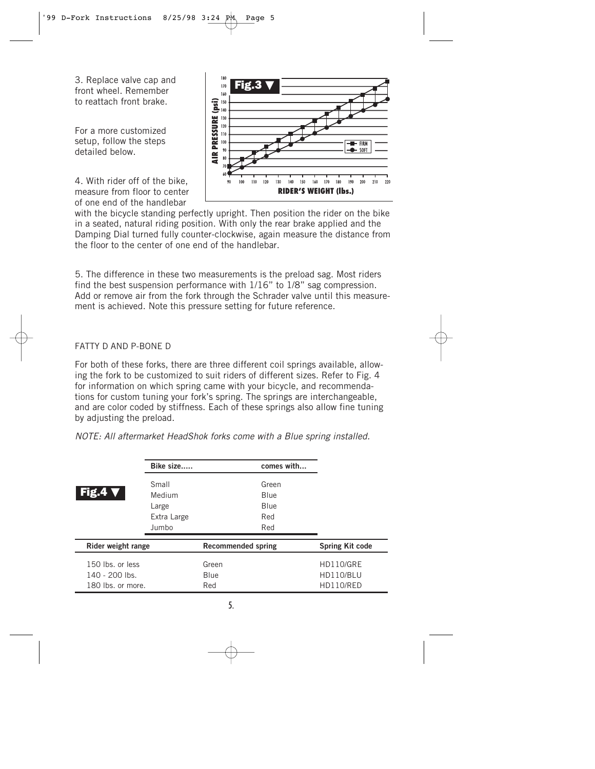3. Replace valve cap and front wheel. Remember to reattach front brake.

For a more customized setup, follow the steps detailed below.

4. With rider off of the bike, measure from floor to center of one end of the handlebar



with the bicycle standing perfectly upright. Then position the rider on the bike in a seated, natural riding position. With only the rear brake applied and the Damping Dial turned fully counter-clockwise, again measure the distance from the floor to the center of one end of the handlebar.

5. The difference in these two measurements is the preload sag. Most riders find the best suspension performance with 1/16" to 1/8" sag compression. Add or remove air from the fork through the Schrader valve until this measurement is achieved. Note this pressure setting for future reference.

#### FATTY D AND P-BONE D

For both of these forks, there are three different coil springs available, allowing the fork to be customized to suit riders of different sizes. Refer to Fig. 4 for information on which spring came with your bicycle, and recommendations for custom tuning your fork's spring. The springs are interchangeable, and are color coded by stiffness. Each of these springs also allow fine tuning by adjusting the preload.

NOTE: All aftermarket HeadShok forks come with a Blue spring installed.

|                    | Bike size   | comes with                |                  |
|--------------------|-------------|---------------------------|------------------|
|                    | Small       | Green                     |                  |
| Fig.4'             | Medium      | Blue                      |                  |
|                    | Large       | Blue                      |                  |
|                    | Extra Large | Red                       |                  |
|                    | Jumbo       | Red                       |                  |
| Rider weight range |             | <b>Recommended spring</b> | Spring Kit code  |
| 150 lbs. or less   |             | Green                     | <b>HD110/GRE</b> |
| 140 - 200 lbs.     |             | Blue                      | HD110/BLU        |
| 180 lbs. or more.  |             | Red                       | HD110/RED        |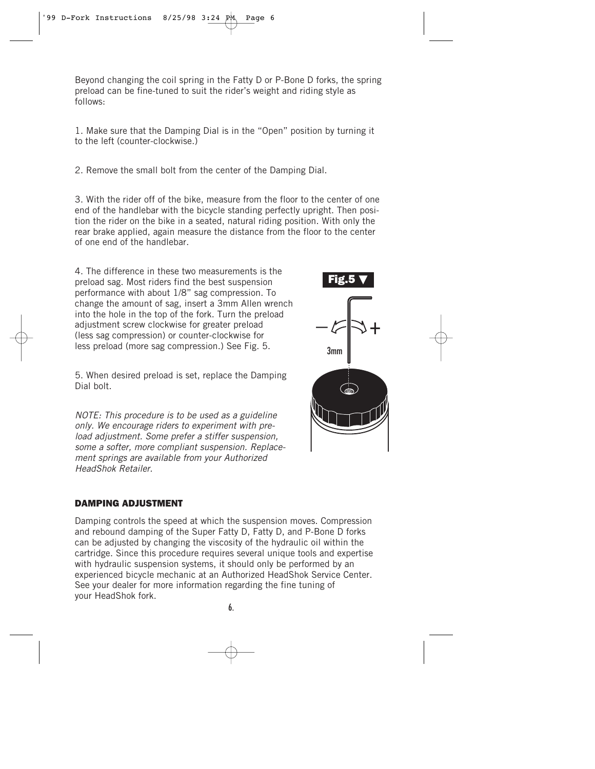Beyond changing the coil spring in the Fatty D or P-Bone D forks, the spring preload can be fine-tuned to suit the rider's weight and riding style as follows:

1. Make sure that the Damping Dial is in the "Open" position by turning it to the left (counter-clockwise.)

2. Remove the small bolt from the center of the Damping Dial.

3. With the rider off of the bike, measure from the floor to the center of one end of the handlebar with the bicycle standing perfectly upright. Then position the rider on the bike in a seated, natural riding position. With only the rear brake applied, again measure the distance from the floor to the center of one end of the handlebar.

4. The difference in these two measurements is the preload sag. Most riders find the best suspension performance with about 1/8" sag compression. To change the amount of sag, insert a 3mm Allen wrench into the hole in the top of the fork. Turn the preload adjustment screw clockwise for greater preload (less sag compression) or counter-clockwise for less preload (more sag compression.) See Fig. 5.

5. When desired preload is set, replace the Damping Dial bolt.

NOTE: This procedure is to be used as a guideline only. We encourage riders to experiment with preload adjustment. Some prefer a stiffer suspension, some a softer, more compliant suspension. Replacement springs are available from your Authorized HeadShok Retailer.

# **Fig.5** ▼ 3mm  $-\varepsilon \rightarrow +$

#### **DAMPING ADJUSTMENT**

Damping controls the speed at which the suspension moves. Compression and rebound damping of the Super Fatty D, Fatty D, and P-Bone D forks can be adjusted by changing the viscosity of the hydraulic oil within the cartridge. Since this procedure requires several unique tools and expertise with hydraulic suspension systems, it should only be performed by an experienced bicycle mechanic at an Authorized HeadShok Service Center. See your dealer for more information regarding the fine tuning of your HeadShok fork.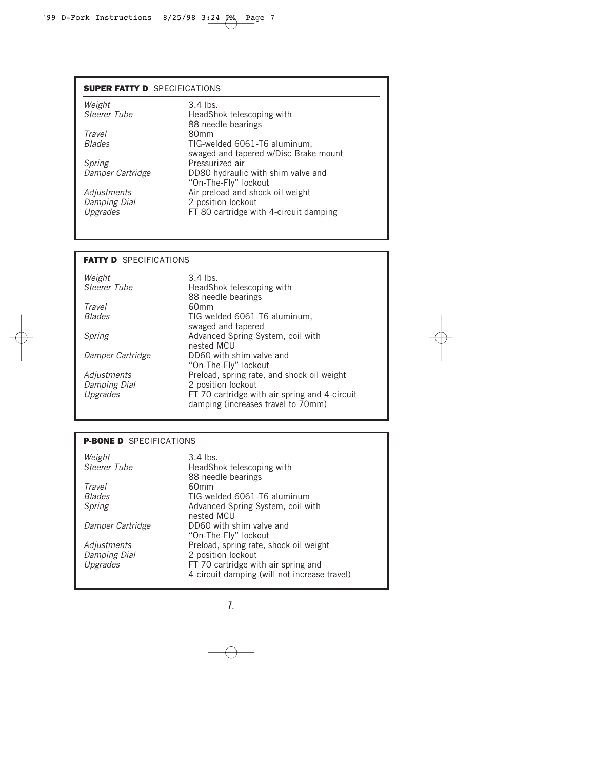#### **SUPER FATTY D** SPECIFICATIONS

| $3.4$ lbs.                                                   |
|--------------------------------------------------------------|
| HeadShok telescoping with<br>88 needle bearings              |
| 80 <sub>mm</sub>                                             |
| TIG-welded 6061-T6 aluminum,                                 |
| swaged and tapered w/Disc Brake mount<br>Pressurized air     |
| DD80 hydraulic with shim valve and<br>"On-The-Fly" lockout   |
| Air preload and shock oil weight                             |
| 2 position lockout<br>FT 80 cartridge with 4-circuit damping |
|                                                              |

#### **FATTY D** SPECIFICATIONS

| Weight                  | $3.4$ lbs.                                                                          |
|-------------------------|-------------------------------------------------------------------------------------|
| Steerer Tube            | HeadShok telescoping with                                                           |
|                         | 88 needle bearings                                                                  |
| Travel<br><b>Blades</b> | 60mm<br>TIG-welded 6061-T6 aluminum,                                                |
|                         | swaged and tapered                                                                  |
| Spring                  | Advanced Spring System, coil with                                                   |
|                         | nested MCU                                                                          |
| Damper Cartridge        | DD60 with shim valve and                                                            |
|                         | "On-The-Fly" lockout                                                                |
| Adjustments             | Preload, spring rate, and shock oil weight                                          |
| Damping Dial            | 2 position lockout                                                                  |
| Upgrades                | FT 70 cartridge with air spring and 4-circuit<br>damping (increases travel to 70mm) |

#### **P-BONE D** SPECIFICATIONS

| Weight              | $3.4$ lbs.                                   |
|---------------------|----------------------------------------------|
| Steerer Tube        | HeadShok telescoping with                    |
|                     | 88 needle bearings                           |
| Travel              | 60mm                                         |
| <b>Blades</b>       | TIG-welded 6061-T6 aluminum                  |
| Spring              | Advanced Spring System, coil with            |
|                     | nested MCU                                   |
| Damper Cartridge    | DD60 with shim valve and                     |
|                     | "On-The-Fly" lockout                         |
| Adjustments         | Preload, spring rate, shock oil weight       |
| <b>Damping Dial</b> | 2 position lockout                           |
| Upgrades            | FT 70 cartridge with air spring and          |
|                     | 4-circuit damping (will not increase travel) |
|                     |                                              |